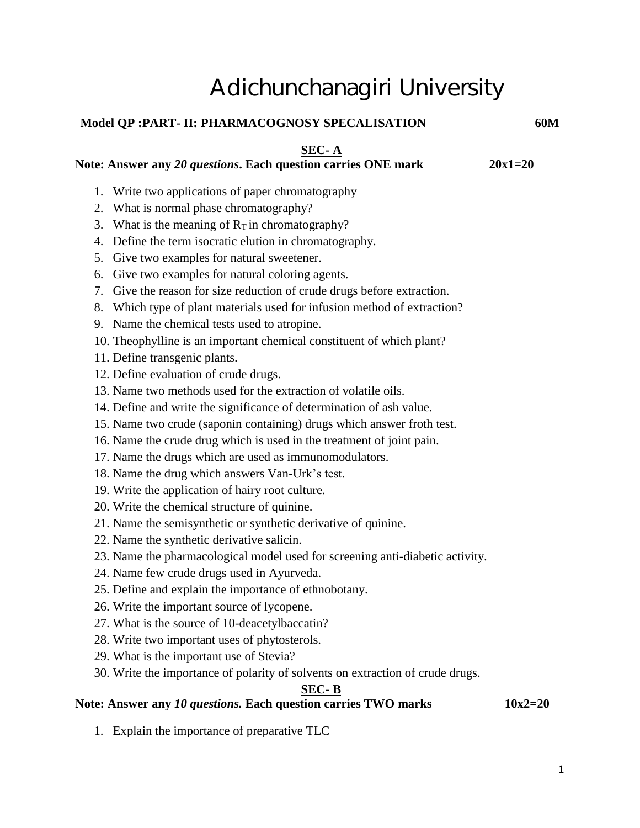# Adichunchanagiri University

## **Model QP :PART- II: PHARMACOGNOSY SPECALISATION 60M**

#### **SEC- A**

### Note: Answer any 20 questions. Each question carries ONE mark 20x1=20

- 1. Write two applications of paper chromatography
- 2. What is normal phase chromatography?
- 3. What is the meaning of  $R<sub>T</sub>$  in chromatography?
- 4. Define the term isocratic elution in chromatography.
- 5. Give two examples for natural sweetener.
- 6. Give two examples for natural coloring agents.
- 7. Give the reason for size reduction of crude drugs before extraction.
- 8. Which type of plant materials used for infusion method of extraction?
- 9. Name the chemical tests used to atropine.
- 10. Theophylline is an important chemical constituent of which plant?
- 11. Define transgenic plants.
- 12. Define evaluation of crude drugs.
- 13. Name two methods used for the extraction of volatile oils.
- 14. Define and write the significance of determination of ash value.
- 15. Name two crude (saponin containing) drugs which answer froth test.
- 16. Name the crude drug which is used in the treatment of joint pain.
- 17. Name the drugs which are used as immunomodulators.
- 18. Name the drug which answers Van-Urk's test.
- 19. Write the application of hairy root culture.
- 20. Write the chemical structure of quinine.
- 21. Name the semisynthetic or synthetic derivative of quinine.
- 22. Name the synthetic derivative salicin.
- 23. Name the pharmacological model used for screening anti-diabetic activity.
- 24. Name few crude drugs used in Ayurveda.
- 25. Define and explain the importance of ethnobotany.
- 26. Write the important source of lycopene.
- 27. What is the source of 10-deacetylbaccatin?
- 28. Write two important uses of phytosterols.
- 29. What is the important use of Stevia?
- 30. Write the importance of polarity of solvents on extraction of crude drugs.

# **SEC- B**

## Note: Answer any 10 questions. Each question carries TWO marks 10x2=20

1. Explain the importance of preparative TLC